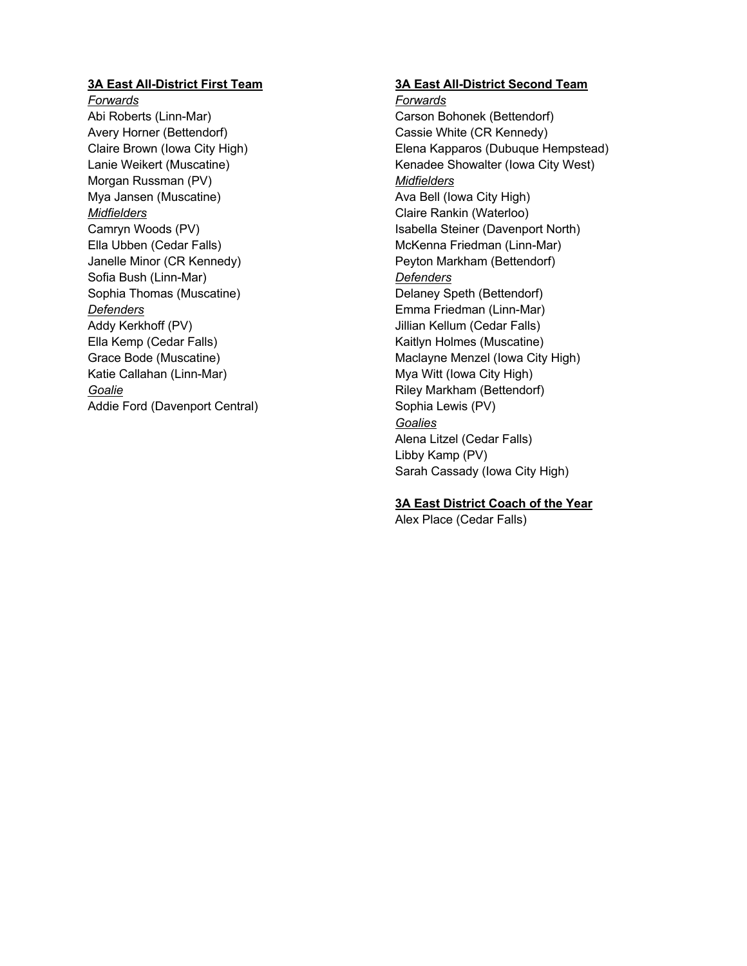# **3A East All-District First Team**

*Forwards* Abi Roberts (Linn-Mar) Avery Horner (Bettendorf) Claire Brown (Iowa City High) Lanie Weikert (Muscatine) Morgan Russman (PV) Mya Jansen (Muscatine) *Midfielders* Camryn Woods (PV) Ella Ubben (Cedar Falls) Janelle Minor (CR Kennedy) Sofia Bush (Linn-Mar) Sophia Thomas (Muscatine) *Defenders* Addy Kerkhoff (PV) Ella Kemp (Cedar Falls) Grace Bode (Muscatine) Katie Callahan (Linn-Mar) *Goalie* Addie Ford (Davenport Central)

# **3A East All-District Second Team**

*Forwards* Carson Bohonek (Bettendorf) Cassie White (CR Kennedy) Elena Kapparos (Dubuque Hempstead) Kenadee Showalter (Iowa City West) *Midfielders* Ava Bell (Iowa City High) Claire Rankin (Waterloo) Isabella Steiner (Davenport North) McKenna Friedman (Linn-Mar) Peyton Markham (Bettendorf) *Defenders* Delaney Speth (Bettendorf) Emma Friedman (Linn-Mar) Jillian Kellum (Cedar Falls) Kaitlyn Holmes (Muscatine) Maclayne Menzel (Iowa City High) Mya Witt (Iowa City High) Riley Markham (Bettendorf) Sophia Lewis (PV) *Goalies* Alena Litzel (Cedar Falls) Libby Kamp (PV) Sarah Cassady (Iowa City High)

# **3A East District Coach of the Year**

Alex Place (Cedar Falls)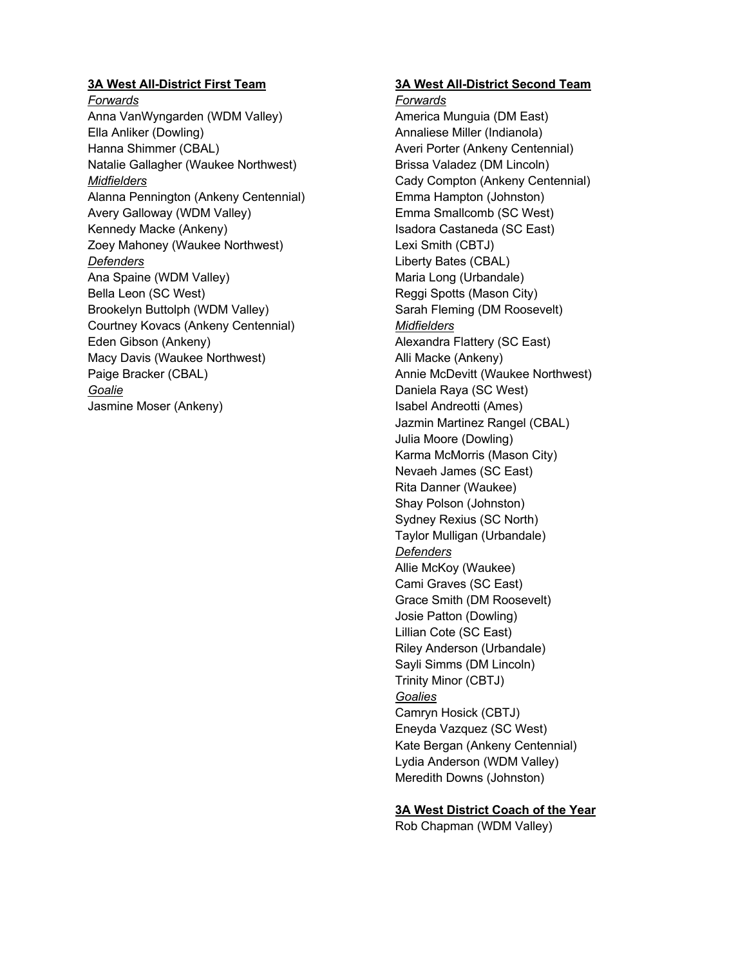# **3A West All-District First Team**

*Forwards* Anna VanWyngarden (WDM Valley) Ella Anliker (Dowling) Hanna Shimmer (CBAL) Natalie Gallagher (Waukee Northwest) *Midfielders* Alanna Pennington (Ankeny Centennial) Avery Galloway (WDM Valley) Kennedy Macke (Ankeny) Zoey Mahoney (Waukee Northwest) *Defenders* Ana Spaine (WDM Valley) Bella Leon (SC West) Brookelyn Buttolph (WDM Valley) Courtney Kovacs (Ankeny Centennial) Eden Gibson (Ankeny) Macy Davis (Waukee Northwest) Paige Bracker (CBAL) *Goalie* Jasmine Moser (Ankeny)

# **3A West All-District Second Team**

*Forwards* America Munguia (DM East) Annaliese Miller (Indianola) Averi Porter (Ankeny Centennial) Brissa Valadez (DM Lincoln) Cady Compton (Ankeny Centennial) Emma Hampton (Johnston) Emma Smallcomb (SC West) Isadora Castaneda (SC East) Lexi Smith (CBTJ) Liberty Bates (CBAL) Maria Long (Urbandale) Reggi Spotts (Mason City) Sarah Fleming (DM Roosevelt) *Midfielders* Alexandra Flattery (SC East) Alli Macke (Ankeny) Annie McDevitt (Waukee Northwest) Daniela Raya (SC West) Isabel Andreotti (Ames) Jazmin Martinez Rangel (CBAL) Julia Moore (Dowling) Karma McMorris (Mason City) Nevaeh James (SC East) Rita Danner (Waukee) Shay Polson (Johnston) Sydney Rexius (SC North) Taylor Mulligan (Urbandale) *Defenders* Allie McKoy (Waukee) Cami Graves (SC East) Grace Smith (DM Roosevelt) Josie Patton (Dowling) Lillian Cote (SC East) Riley Anderson (Urbandale) Sayli Simms (DM Lincoln) Trinity Minor (CBTJ) *Goalies* Camryn Hosick (CBTJ) Eneyda Vazquez (SC West) Kate Bergan (Ankeny Centennial) Lydia Anderson (WDM Valley) Meredith Downs (Johnston)

**3A West District Coach of the Year**

Rob Chapman (WDM Valley)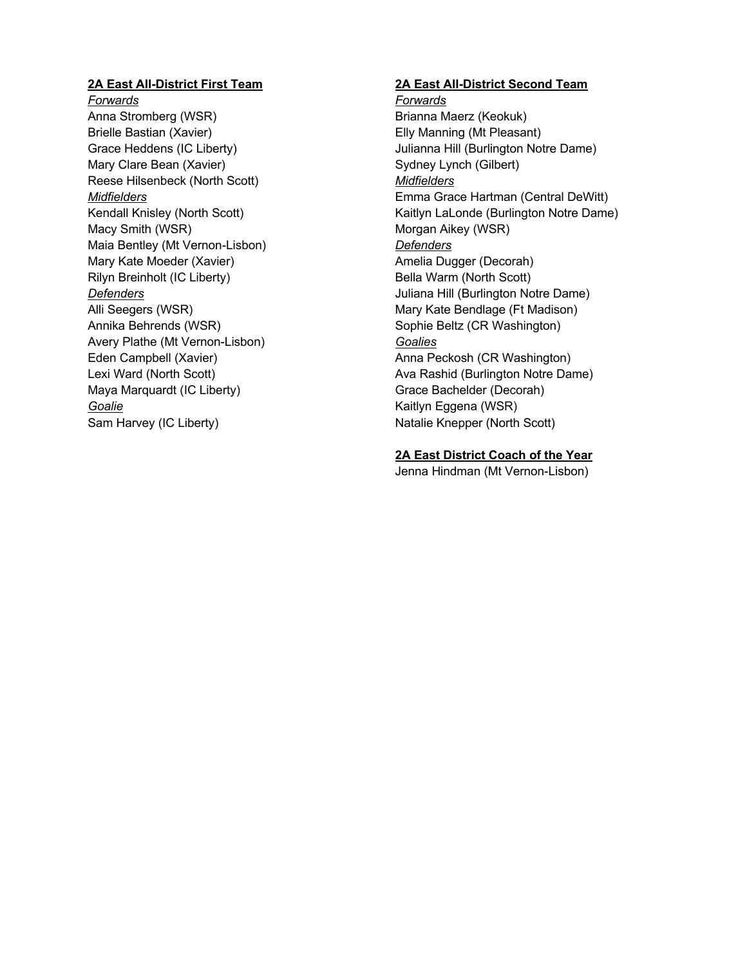# **2A East All-District First Team**

*Forwards* Anna Stromberg (WSR) Brielle Bastian (Xavier) Grace Heddens (IC Liberty) Mary Clare Bean (Xavier) Reese Hilsenbeck (North Scott) *Midfielders* Kendall Knisley (North Scott) Macy Smith (WSR) Maia Bentley (Mt Vernon-Lisbon) Mary Kate Moeder (Xavier) Rilyn Breinholt (IC Liberty) *Defenders* Alli Seegers (WSR) Annika Behrends (WSR) Avery Plathe (Mt Vernon-Lisbon) Eden Campbell (Xavier) Lexi Ward (North Scott) Maya Marquardt (IC Liberty) *Goalie* Sam Harvey (IC Liberty)

# **2A East All-District Second Team**

*Forwards* Brianna Maerz (Keokuk) Elly Manning (Mt Pleasant) Julianna Hill (Burlington Notre Dame) Sydney Lynch (Gilbert) *Midfielders* Emma Grace Hartman (Central DeWitt) Kaitlyn LaLonde (Burlington Notre Dame) Morgan Aikey (WSR) *Defenders* Amelia Dugger (Decorah) Bella Warm (North Scott) Juliana Hill (Burlington Notre Dame) Mary Kate Bendlage (Ft Madison) Sophie Beltz (CR Washington) *Goalies* Anna Peckosh (CR Washington) Ava Rashid (Burlington Notre Dame) Grace Bachelder (Decorah) Kaitlyn Eggena (WSR) Natalie Knepper (North Scott)

## **2A East District Coach of the Year**

Jenna Hindman (Mt Vernon-Lisbon)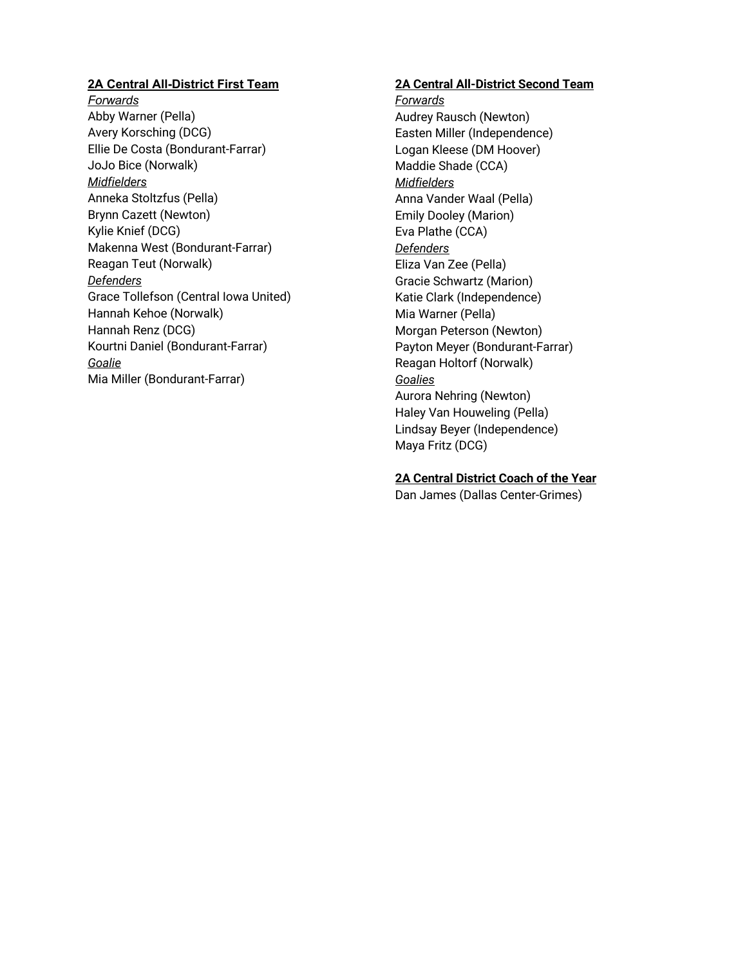# **2A Central All-District First Team**

*Forwards* Abby Warner (Pella) Avery Korsching (DCG) Ellie De Costa (Bondurant-Farrar) JoJo Bice (Norwalk) *Midfielders* Anneka Stoltzfus (Pella) Brynn Cazett (Newton) Kylie Knief (DCG) Makenna West (Bondurant-Farrar) Reagan Teut (Norwalk) *Defenders* Grace Tollefson (Central Iowa United) Hannah Kehoe (Norwalk) Hannah Renz (DCG) Kourtni Daniel (Bondurant-Farrar) *Goalie* Mia Miller (Bondurant-Farrar)

# **2A Central All-District Second Team**

*Forwards* Audrey Rausch (Newton) Easten Miller (Independence) Logan Kleese (DM Hoover) Maddie Shade (CCA) *Midfielders* Anna Vander Waal (Pella) Emily Dooley (Marion) Eva Plathe (CCA) *Defenders* Eliza Van Zee (Pella) Gracie Schwartz (Marion) Katie Clark (Independence) Mia Warner (Pella) Morgan Peterson (Newton) Payton Meyer (Bondurant-Farrar) Reagan Holtorf (Norwalk) *Goalies* Aurora Nehring (Newton) Haley Van Houweling (Pella) Lindsay Beyer (Independence) Maya Fritz (DCG)

# **2A Central District Coach of the Year**

Dan James (Dallas Center-Grimes)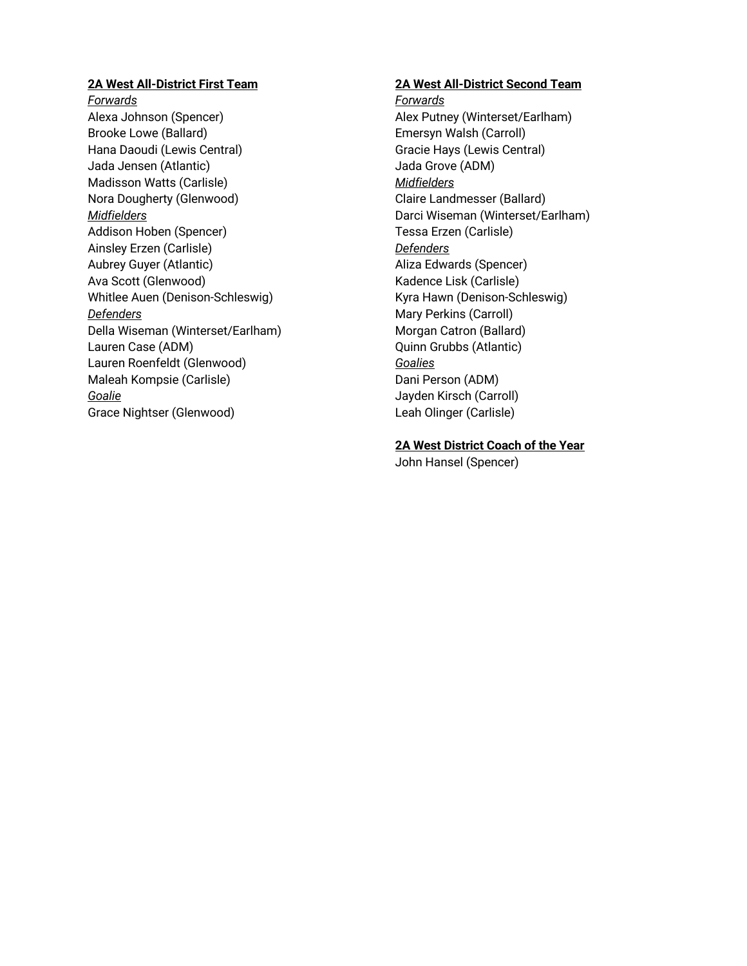# **2A West All-District First Team**

*Forwards* Alexa Johnson (Spencer) Brooke Lowe (Ballard) Hana Daoudi (Lewis Central) Jada Jensen (Atlantic) Madisson Watts (Carlisle) Nora Dougherty (Glenwood) *Midfielders* Addison Hoben (Spencer) Ainsley Erzen (Carlisle) Aubrey Guyer (Atlantic) Ava Scott (Glenwood) Whitlee Auen (Denison-Schleswig) *Defenders* Della Wiseman (Winterset/Earlham) Lauren Case (ADM) Lauren Roenfeldt (Glenwood) Maleah Kompsie (Carlisle) *Goalie* Grace Nightser (Glenwood)

#### **2A West All-District Second Team**

*Forwards* Alex Putney (Winterset/Earlham) Emersyn Walsh (Carroll) Gracie Hays (Lewis Central) Jada Grove (ADM) *Midfielders* Claire Landmesser (Ballard) Darci Wiseman (Winterset/Earlham) Tessa Erzen (Carlisle) *Defenders* Aliza Edwards (Spencer) Kadence Lisk (Carlisle) Kyra Hawn (Denison-Schleswig) Mary Perkins (Carroll) Morgan Catron (Ballard) Quinn Grubbs (Atlantic) *Goalies* Dani Person (ADM) Jayden Kirsch (Carroll) Leah Olinger (Carlisle)

# **2A West District Coach of the Year**

John Hansel (Spencer)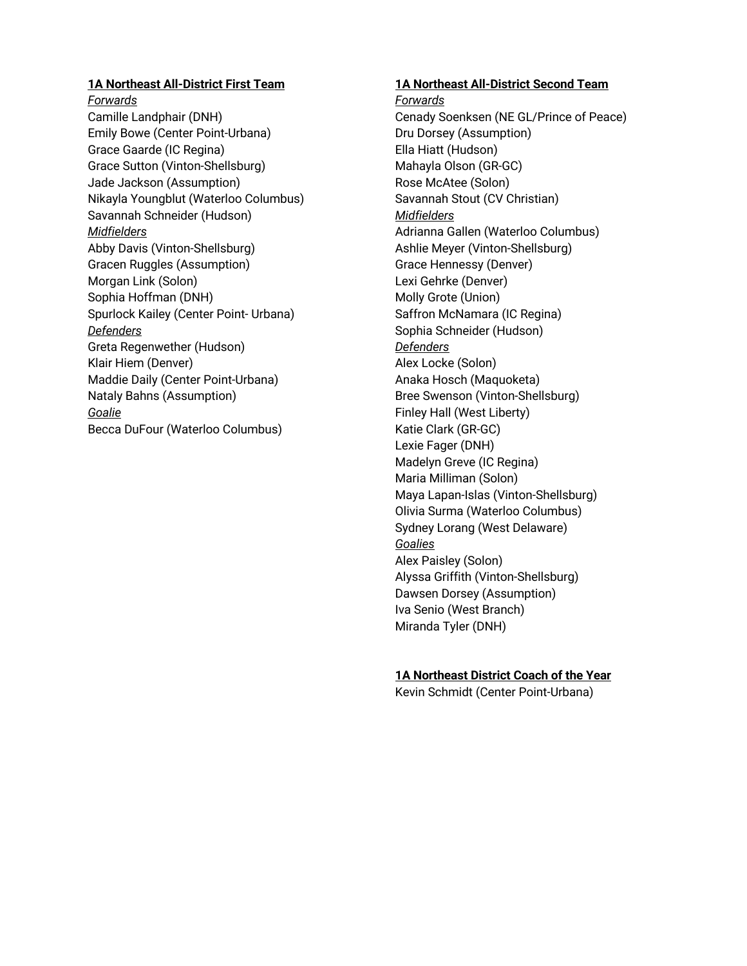# **1A Northeast All-District First Team**

*Forwards* Camille Landphair (DNH) Emily Bowe (Center Point-Urbana) Grace Gaarde (IC Regina) Grace Sutton (Vinton-Shellsburg) Jade Jackson (Assumption) Nikayla Youngblut (Waterloo Columbus) Savannah Schneider (Hudson) *Midfielders* Abby Davis (Vinton-Shellsburg) Gracen Ruggles (Assumption) Morgan Link (Solon) Sophia Hoffman (DNH) Spurlock Kailey (Center Point- Urbana) *Defenders* Greta Regenwether (Hudson) Klair Hiem (Denver) Maddie Daily (Center Point-Urbana) Nataly Bahns (Assumption) *Goalie* Becca DuFour (Waterloo Columbus)

#### **1A Northeast All-District Second Team**

*Forwards* Cenady Soenksen (NE GL/Prince of Peace) Dru Dorsey (Assumption) Ella Hiatt (Hudson) Mahayla Olson (GR-GC) Rose McAtee (Solon) Savannah Stout (CV Christian) *Midfielders* Adrianna Gallen (Waterloo Columbus) Ashlie Meyer (Vinton-Shellsburg) Grace Hennessy (Denver) Lexi Gehrke (Denver) Molly Grote (Union) Saffron McNamara (IC Regina) Sophia Schneider (Hudson) *Defenders* Alex Locke (Solon) Anaka Hosch (Maquoketa) Bree Swenson (Vinton-Shellsburg) Finley Hall (West Liberty) Katie Clark (GR-GC) Lexie Fager (DNH) Madelyn Greve (IC Regina) Maria Milliman (Solon) Maya Lapan-Islas (Vinton-Shellsburg) Olivia Surma (Waterloo Columbus) Sydney Lorang (West Delaware) *Goalies* Alex Paisley (Solon) Alyssa Griffith (Vinton-Shellsburg) Dawsen Dorsey (Assumption) Iva Senio (West Branch) Miranda Tyler (DNH)

#### **1A Northeast District Coach of the Year**

Kevin Schmidt (Center Point-Urbana)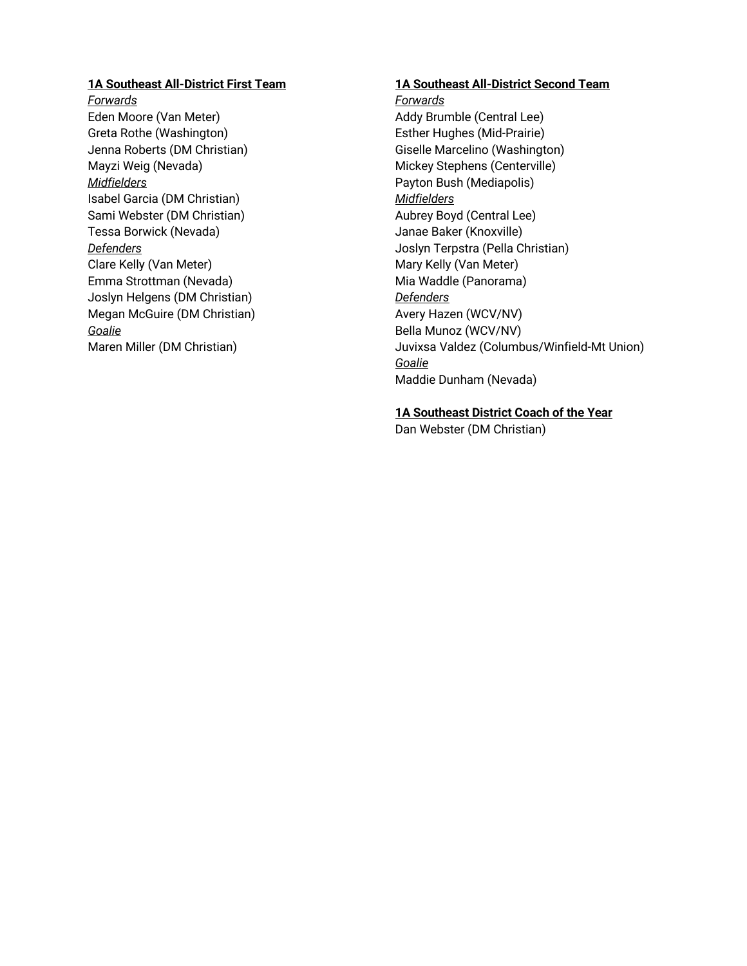# **1A Southeast All-District First Team**

*Forwards* Eden Moore (Van Meter) Greta Rothe (Washington) Jenna Roberts (DM Christian) Mayzi Weig (Nevada) *Midfielders* Isabel Garcia (DM Christian) Sami Webster (DM Christian) Tessa Borwick (Nevada) *Defenders* Clare Kelly (Van Meter) Emma Strottman (Nevada) Joslyn Helgens (DM Christian) Megan McGuire (DM Christian) *Goalie* Maren Miller (DM Christian)

#### **1A Southeast All-District Second Team**

*Forwards* Addy Brumble (Central Lee) Esther Hughes (Mid-Prairie) Giselle Marcelino (Washington) Mickey Stephens (Centerville) Payton Bush (Mediapolis) *Midfielders* Aubrey Boyd (Central Lee) Janae Baker (Knoxville) Joslyn Terpstra (Pella Christian) Mary Kelly (Van Meter) Mia Waddle (Panorama) *Defenders* Avery Hazen (WCV/NV) Bella Munoz (WCV/NV) Juvixsa Valdez (Columbus/Winfield-Mt Union) *Goalie* Maddie Dunham (Nevada)

# **1A Southeast District Coach of the Year**

Dan Webster (DM Christian)